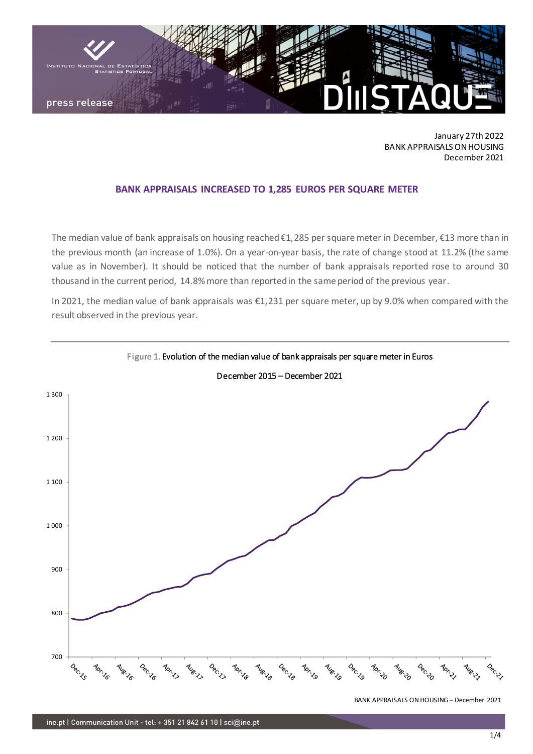

January 27th 2022 BANK APPRAISALS ON HOUSING December 2021

## **BANK APPRAISALS INCREASED TO 1,285 EUROS PER SQUARE METER**

The median value of bank appraisals on housing reached €1,285 per square meter in December, €13 more than in the previous month (an increase of 1.0%). On a year-on-year basis, the rate of change stood at 11.2% (the same value as in November). It should be noticed that the number of bank appraisals reported rose to around 30 thousand in the current period, 14.8% more than reported in the same period of the previous year.

In 2021, the median value of bank appraisals was €1,231 per square meter, up by 9.0% when compared with the result observed in the previous year.



December 2015 – December 2021

Figure 1. Evolution of the median value of bank appraisals per square meter in Euros

BANK APPRAISALS ON HOUSING – December 2021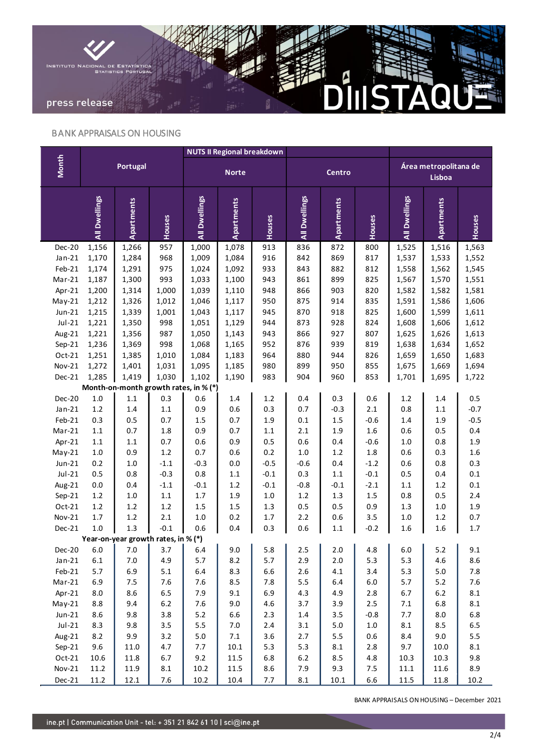

## BANK APPRAISALS ON HOUSING

|                                       | Portugal      |            |         | <b>NUTS II Regional breakdown</b> |                   |         |               |             |         |                                 |            |           |
|---------------------------------------|---------------|------------|---------|-----------------------------------|-------------------|---------|---------------|-------------|---------|---------------------------------|------------|-----------|
| <b>Month</b>                          |               |            |         | <b>Norte</b>                      |                   |         | Centro        |             |         | Área metropolitana de<br>Lisboa |            |           |
|                                       | All Dwellings | Apartments | Houses  | All Dwellings                     | <b>Apartments</b> | Houses  | All Dwellings | Apartments  | Houses  | All Dwellings                   | Apartments | Houses    |
| Dec-20                                | 1,156         | 1,266      | 957     | 1,000                             | 1,078             | 913     | 836           | 872         | 800     | 1,525                           | 1,516      | 1,563     |
| $Jan-21$                              | 1,170         | 1,284      | 968     | 1,009                             | 1,084             | 916     | 842           | 869         | 817     | 1,537                           | 1,533      | 1,552     |
| Feb-21                                | 1,174         | 1,291      | 975     | 1,024                             | 1,092             | 933     | 843           | 882         | 812     | 1,558                           | 1,562      | 1,545     |
| Mar-21                                | 1,187         | 1,300      | 993     | 1,033                             | 1,100             | 943     | 861           | 899         | 825     | 1,567                           | 1,570      | 1,551     |
| Apr-21                                | 1,200         | 1,314      | 1,000   | 1,039                             | 1,110             | 948     | 866           | 903         | 820     | 1,582                           | 1,582      | 1,581     |
| $May-21$                              | 1,212         | 1,326      | 1,012   | 1,046                             | 1,117             | 950     | 875           | 914         | 835     | 1,591                           | 1,586      | 1,606     |
| $Jun-21$                              | 1,215         | 1,339      | 1,001   | 1,043                             | 1,117             | 945     | 870           | 918         | 825     | 1,600                           | 1,599      | 1,611     |
| $Jul-21$                              | 1,221         | 1,350      | 998     | 1,051                             | 1,129             | 944     | 873           | 928         | 824     | 1,608                           | 1,606      | 1,612     |
| Aug-21                                | 1,221         | 1,356      | 987     | 1,050                             | 1,143             | 943     | 866           | 927         | 807     | 1,625                           | 1,626      | 1,613     |
| $Sep-21$                              | 1,236         | 1,369      | 998     | 1,068                             | 1,165             | 952     | 876           | 939         | 819     | 1,638                           | 1,634      | 1,652     |
| $Oct-21$                              | 1,251         | 1,385      | 1,010   | 1,084                             | 1,183             | 964     | 880           | 944         | 826     | 1,659                           | 1,650      | 1,683     |
| Nov-21                                | 1,272         | 1,401      | 1,031   | 1,095                             | 1,185             | 980     | 899           | 950         | 855     | 1,675                           | 1,669      | 1,694     |
| Dec-21                                | 1,285         | 1,419      | 1,030   | 1,102                             | 1,190             | 983     | 904           | 960         | 853     | 1,701                           | 1,695      | 1,722     |
| Month-on-month growth rates, in % (*) |               |            |         |                                   |                   |         |               |             |         |                                 |            |           |
| Dec-20                                | $1.0\,$       | $1.1\,$    | 0.3     | 0.6                               | $1.4\,$           | $1.2\,$ | 0.4           | 0.3         | 0.6     | $1.2\,$                         | $1.4\,$    | 0.5       |
| $Jan-21$                              | $1.2\,$       | 1.4        | $1.1\,$ | 0.9                               | $0.6\,$           | 0.3     | 0.7           | $-0.3$      | $2.1\,$ | 0.8                             | $1.1\,$    | $-0.7$    |
| $Feb-21$                              | 0.3           | 0.5        | 0.7     | $1.5\,$                           | 0.7               | 1.9     | $0.1\,$       | $1.5\,$     | $-0.6$  | $1.4\,$                         | 1.9        | $-0.5$    |
| $Mar-21$                              | $1.1\,$       | 0.7        | $1.8\,$ | 0.9                               | 0.7               | $1.1\,$ | $2.1\,$       | $1.9\,$     | $1.6\,$ | 0.6                             | 0.5        | 0.4       |
| Apr-21                                | $1.1\,$       | $1.1\,$    | 0.7     | $0.6\,$                           | 0.9               | 0.5     | $0.6\,$       | $0.4\,$     | $-0.6$  | $1.0\,$                         | 0.8        | $1.9\,$   |
| $May-21$                              | $1.0\,$       | 0.9        | $1.2\,$ | 0.7                               | $0.6\,$           | $0.2\,$ | $1.0\,$       | $1.2\,$     | $1.8\,$ | 0.6                             | 0.3        | $1.6\,$   |
| $Jun-21$                              | 0.2           | $1.0\,$    | $-1.1$  | $-0.3$                            | $0.0\,$           | $-0.5$  | $-0.6$        | $0.4\,$     | $-1.2$  | 0.6                             | 0.8        | 0.3       |
| $Jul-21$                              | 0.5           | 0.8        | $-0.3$  | 0.8                               | $1.1\,$           | $-0.1$  | 0.3           | $1.1\,$     | $-0.1$  | 0.5                             | 0.4        | $0.1\,$   |
| Aug-21                                | $0.0\,$       | $0.4\,$    | $-1.1$  | $-0.1$                            | $1.2\,$           | $-0.1$  | $-0.8$        | $-0.1$      | $-2.1$  | $1.1\,$                         | $1.2\,$    | $0.1\,$   |
| $Sep-21$                              | $1.2\,$       | $1.0\,$    | $1.1\,$ | $1.7\,$                           | 1.9               | $1.0\,$ | $1.2\,$       | $1.3\,$     | $1.5\,$ | 0.8                             | 0.5        | 2.4       |
| $Oct-21$                              | $1.2\,$       | $1.2\,$    | $1.2\,$ | 1.5                               | $1.5\,$           | $1.3\,$ | 0.5           | $0.5\,$     | 0.9     | 1.3                             | $1.0\,$    | 1.9       |
| $Nov-21$                              | $1.7\,$       | $1.2\,$    | $2.1\,$ | $1.0\,$                           | $0.2\,$           | $1.7\,$ | 2.2           | 0.6         | 3.5     | $1.0\,$                         | $1.2\,$    | 0.7       |
| Dec-21                                | 1.0           | 1.3        | $-0.1$  | 0.6                               | 0.4               | 0.3     | 0.6           | $1.1\,$     | $-0.2$  | 1.6                             | 1.6        | $1.7\,$   |
| Year-on-year growth rates, in % (*)   |               |            |         |                                   |                   |         |               |             |         |                                 |            |           |
| Dec-20                                | $6.0\,$       | 7.0        | 3.7     | 6.4                               | 9.0               | 5.8     | 2.5 $\vert$   | 2.0 $\vert$ | 4.8     | 6.0                             | 5.2        | 9.1       |
| $Jan-21$                              | $6.1\,$       | $7.0\,$    | 4.9     | 5.7                               | 8.2               | 5.7     | 2.9           | $2.0\,$     | 5.3     | 5.3                             | 4.6        | 8.6       |
| $Feb-21$                              | 5.7           | 6.9        | 5.1     | 6.4                               | 8.3               | 6.6     | 2.6           | $4.1\,$     | $3.4$   | 5.3                             | $5.0$      | 7.8       |
| $Mar-21$                              | 6.9           | $7.5$      | 7.6     | 7.6                               | 8.5               | 7.8     | 5.5           | $6.4\,$     | $6.0\,$ | 5.7                             | 5.2        | 7.6       |
| Apr-21                                | 8.0           | 8.6        | 6.5     | 7.9                               | 9.1               | 6.9     | 4.3           | 4.9         | $2.8\,$ | 6.7                             | 6.2        | $\bf 8.1$ |
| $May-21$                              | 8.8           | 9.4        | $6.2\,$ | 7.6                               | 9.0               | $4.6\,$ | 3.7           | 3.9         | $2.5\,$ | $7.1\,$                         | 6.8        | $\bf 8.1$ |
| $Jun-21$                              | 8.6           | 9.8        | 3.8     | $5.2$                             | 6.6               | $2.3\,$ | $1.4\,$       | 3.5         | $-0.8$  | 7.7                             | 8.0        | $6.8\,$   |
| $Jul-21$                              | 8.3           | 9.8        | 3.5     | 5.5                               | $7.0$             | $2.4\,$ | 3.1           | $5.0\,$     | $1.0\,$ | $8.1\,$                         | 8.5        | 6.5       |
| Aug-21                                | 8.2           | 9.9        | 3.2     | $5.0$                             | $7.1\,$           | $3.6\,$ | $2.7\,$       | 5.5         | $0.6\,$ | $8.4\,$                         | 9.0        | 5.5       |
| $Sep-21$                              | 9.6           | 11.0       | 4.7     | 7.7                               | $10.1\,$          | 5.3     | 5.3           | $\bf 8.1$   | $2.8\,$ | 9.7                             | 10.0       | $\bf 8.1$ |
| $Oct-21$                              | 10.6          | 11.8       | 6.7     | 9.2                               | 11.5              | $6.8\,$ | $6.2\,$       | $8.5\,$     | $4.8\,$ | 10.3                            | 10.3       | 9.8       |
| Nov-21                                | 11.2          | 11.9       | $8.1\,$ | $10.2\,$                          | $11.5\,$          | $8.6\,$ | 7.9           | 9.3         | $7.5\,$ | 11.1                            | 11.6       | 8.9       |
| Dec-21                                | 11.2          | 12.1       | $7.6$   | $10.2\,$                          | 10.4              | $7.7\,$ | $8.1\,$       | $10.1\,$    | 6.6     | 11.5                            | 11.8       | 10.2      |

BANK APPRAISALS ON HOUSING – December 2021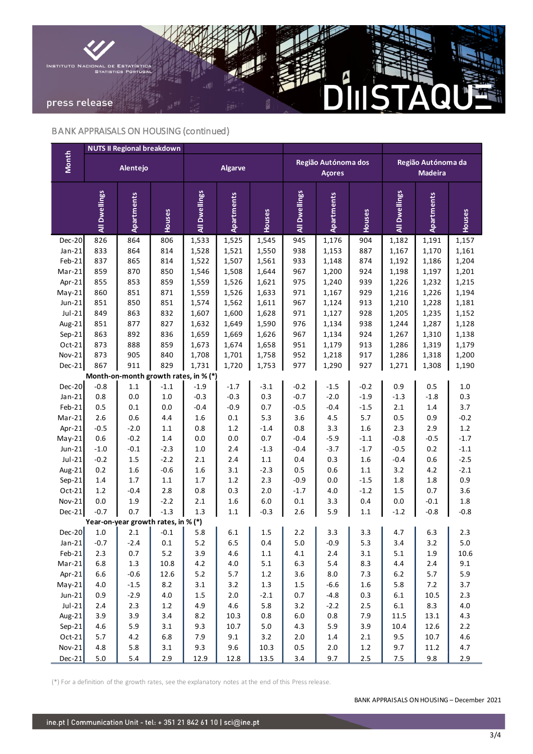

# BANK APPRAISALS ON HOUSING (continued)

|                                       | <b>NUTS II Regional breakdown</b> |                                     |         |                |                   |         |                                      |                   |         |                                      |                   |         |
|---------------------------------------|-----------------------------------|-------------------------------------|---------|----------------|-------------------|---------|--------------------------------------|-------------------|---------|--------------------------------------|-------------------|---------|
| Month                                 |                                   | Alentejo                            |         | <b>Algarve</b> |                   |         | Região Autónoma dos<br><b>Açores</b> |                   |         | Região Autónoma da<br><b>Madeira</b> |                   |         |
|                                       | All Dwellings                     | Apartments                          | Houses  | All Dwellings  | <b>Apartments</b> | Houses  | All Dwellings                        | <b>Apartments</b> | Houses  | All Dwellings                        | <b>Apartments</b> | Houses  |
| <b>Dec-20</b>                         | 826                               | 864                                 | 806     | 1,533          | 1,525             | 1,545   | 945                                  | 1,176             | 904     | 1,182                                | 1,191             | 1,157   |
| $Jan-21$                              | 833                               | 864                                 | 814     | 1,528          | 1,521             | 1,550   | 938                                  | 1,153             | 887     | 1,167                                | 1,170             | 1,161   |
| Feb-21                                | 837                               | 865                                 | 814     | 1,522          | 1,507             | 1,561   | 933                                  | 1,148             | 874     | 1,192                                | 1,186             | 1,204   |
| $Mar-21$                              | 859                               | 870                                 | 850     | 1,546          | 1,508             | 1,644   | 967                                  | 1,200             | 924     | 1,198                                | 1,197             | 1,201   |
| Apr-21                                | 855                               | 853                                 | 859     | 1,559          | 1,526             | 1,621   | 975                                  | 1,240             | 939     | 1,226                                | 1,232             | 1,215   |
| $May-21$                              | 860                               | 851                                 | 871     | 1,559          | 1,526             | 1,633   | 971                                  | 1,167             | 929     | 1,216                                | 1,226             | 1,194   |
| $Jun-21$                              | 851                               | 850                                 | 851     | 1,574          | 1,562             | 1,611   | 967                                  | 1,124             | 913     | 1,210                                | 1,228             | 1,181   |
| $Jul-21$                              | 849                               | 863                                 | 832     | 1,607          | 1,600             | 1,628   | 971                                  | 1,127             | 928     | 1,205                                | 1,235             | 1,152   |
| Aug-21                                | 851                               | 877                                 | 827     | 1,632          | 1,649             | 1,590   | 976                                  | 1,134             | 938     | 1,244                                | 1,287             | 1,128   |
| $Sep-21$                              | 863                               | 892                                 | 836     | 1,659          | 1,669             | 1,626   | 967                                  | 1,134             | 924     | 1,267                                | 1,310             | 1,138   |
| Oct-21                                | 873                               | 888                                 | 859     | 1,673          | 1,674             | 1,658   | 951                                  | 1,179             | 913     | 1,286                                | 1,319             | 1,179   |
| Nov-21                                | 873                               | 905                                 | 840     | 1,708          | 1,701             | 1,758   | 952                                  | 1,218             | 917     | 1,286                                | 1,318             | 1,200   |
| <b>Dec-21</b>                         | 867                               | 911                                 | 829     | 1,731          | 1,720             | 1,753   | 977                                  | 1,290             | 927     | 1,271                                | 1,308             | 1,190   |
| Month-on-month growth rates, in % (*) |                                   |                                     |         |                |                   |         |                                      |                   |         |                                      |                   |         |
| Dec-20                                | $-0.8$                            | $1.1\,$                             | $-1.1$  | $-1.9$         | $-1.7$            | $-3.1$  | $-0.2$                               | $-1.5$            | $-0.2$  | 0.9                                  | 0.5               | $1.0\,$ |
| $Jan-21$                              | 0.8                               | $0.0\,$                             | $1.0$   | $-0.3$         | $-0.3$            | 0.3     | $-0.7$                               | $-2.0$            | $-1.9$  | $-1.3$                               | $-1.8$            | 0.3     |
| Feb-21                                | 0.5                               | $0.1\,$                             | 0.0     | $-0.4$         | $-0.9$            | 0.7     | $-0.5$                               | $-0.4$            | $-1.5$  | 2.1                                  | 1.4               | 3.7     |
| Mar-21                                | 2.6                               | 0.6                                 | 4.4     | 1.6            | 0.1               | 5.3     | 3.6                                  | $4.5\,$           | 5.7     | 0.5                                  | 0.9               | $-0.2$  |
| Apr-21                                | $-0.5$                            | $-2.0$                              | $1.1\,$ | 0.8            | $1.2\,$           | $-1.4$  | $0.8\,$                              | 3.3               | 1.6     | 2.3                                  | 2.9               | $1.2\,$ |
| $May-21$                              | 0.6                               | $-0.2$                              | 1.4     | 0.0            | 0.0               | 0.7     | $-0.4$                               | $-5.9$            | $-1.1$  | $-0.8$                               | $-0.5$            | $-1.7$  |
| $Jun-21$                              | $-1.0$                            | $-0.1$                              | $-2.3$  | $1.0\,$        | 2.4               | $-1.3$  | $-0.4$                               | $-3.7$            | $-1.7$  | $-0.5$                               | 0.2               | $-1.1$  |
| $Jul-21$                              | $-0.2$                            | $1.5\,$                             | $-2.2$  | 2.1            | 2.4               | $1.1\,$ | $0.4\,$                              | 0.3               | 1.6     | $-0.4$                               | 0.6               | $-2.5$  |
| Aug-21                                | 0.2                               | 1.6                                 | $-0.6$  | $1.6\,$        | 3.1               | $-2.3$  | $0.5\,$                              | 0.6               | 1.1     | 3.2                                  | 4.2               | $-2.1$  |
| $Sep-21$                              | 1.4                               | $1.7\,$                             | $1.1\,$ | $1.7$          | $1.2\,$           | 2.3     | $-0.9$                               | 0.0               | $-1.5$  | 1.8                                  | 1.8               | 0.9     |
| Oct-21                                | $1.2\,$                           | $-0.4$                              | 2.8     | 0.8            | 0.3               | $2.0$   | $-1.7$                               | 4.0               | $-1.2$  | 1.5                                  | 0.7               | 3.6     |
| Nov-21                                | 0.0                               | 1.9                                 | $-2.2$  | 2.1            | 1.6               | 6.0     | $0.1\,$                              | 3.3               | 0.4     | 0.0                                  | $-0.1$            | 1.8     |
| Dec-21                                | $-0.7$                            | 0.7                                 | $-1.3$  | 1.3            | $1.1\,$           | $-0.3$  | 2.6                                  | 5.9               | $1.1\,$ | $-1.2$                               | $-0.8$            | $-0.8$  |
|                                       |                                   | Year-on-year growth rates, in % (*) |         |                |                   |         |                                      |                   |         |                                      |                   |         |
| $Dec-20$                              | $1.0\,$                           | 2.1                                 | $-0.1$  | 5.8            | 6.1               | 1.5     | 2.2                                  | 3.3               | 3.3     | 4.7                                  | 6.3               | 2.3     |
| Jan-21                                | $-0.7$                            | $-2.4$                              | 0.1     | $5.2$          | 6.5               | 0.4     | 5.0                                  | $-0.9$            | 5.3     | 3.4                                  | 3.2               | $5.0$   |
| $Feb-21$                              | 2.3                               | 0.7                                 | $5.2$   | 3.9            | 4.6               | $1.1\,$ | $4.1\,$                              | $2.4\,$           | 3.1     | 5.1                                  | $1.9\,$           | 10.6    |
| $Mar-21$                              | 6.8                               | $1.3\,$                             | 10.8    | $4.2\,$        | $4.0\,$           | $5.1\,$ | 6.3                                  | 5.4               | 8.3     | 4.4                                  | $2.4\,$           | 9.1     |
| Apr-21                                | 6.6                               | $-0.6$                              | 12.6    | $5.2$          | 5.7               | $1.2\,$ | 3.6                                  | $8.0\,$           | 7.3     | $6.2\,$                              | $5.7$             | 5.9     |
| $May-21$                              | $4.0\,$                           | $-1.5$                              | 8.2     | $3.1\,$        | 3.2               | $1.3\,$ | $1.5\,$                              | $-6.6$            | $1.6\,$ | 5.8                                  | $7.2$             | 3.7     |
| Jun-21                                | 0.9                               | $-2.9$                              | $4.0\,$ | $1.5\,$        | $2.0\,$           | $-2.1$  | $0.7\,$                              | $-4.8$            | 0.3     | $6.1\,$                              | 10.5              | $2.3$   |
| Jul-21                                | $2.4$                             | 2.3                                 | $1.2\,$ | 4.9            | $4.6\,$           | 5.8     | 3.2                                  | $-2.2$            | $2.5\,$ | $6.1\,$                              | 8.3               | $4.0\,$ |
| Aug-21                                | 3.9                               | 3.9                                 | 3.4     | $8.2\,$        | 10.3              | $0.8\,$ | $6.0\,$                              | 0.8               | 7.9     | 11.5                                 | 13.1              | 4.3     |
| $Sep-21$                              | $4.6\,$                           | 5.9                                 | 3.1     | 9.3            | 10.7              | $5.0\,$ | 4.3                                  | 5.9               | 3.9     | 10.4                                 | 12.6              | $2.2\,$ |
| $Oct-21$                              | $5.7$                             | $4.2\,$                             | 6.8     | 7.9            | 9.1               | 3.2     | $2.0\,$                              | $1.4\,$           | 2.1     | 9.5                                  | 10.7              | $4.6\,$ |
| $Nov-21$                              | 4.8                               | 5.8                                 | $3.1$   | 9.3            | 9.6               | 10.3    | $0.5\,$                              | $2.0\,$           | $1.2\,$ | 9.7                                  | 11.2              | 4.7     |
| $Dec-21$                              | $5.0\,$                           | $5.4\,$                             | 2.9     | 12.9           | 12.8              | 13.5    | 3.4                                  | 9.7               | 2.5     | 7.5                                  | 9.8               | 2.9     |

(\*) For a definition of the growth rates, see the explanatory notes at the end of this Press release.